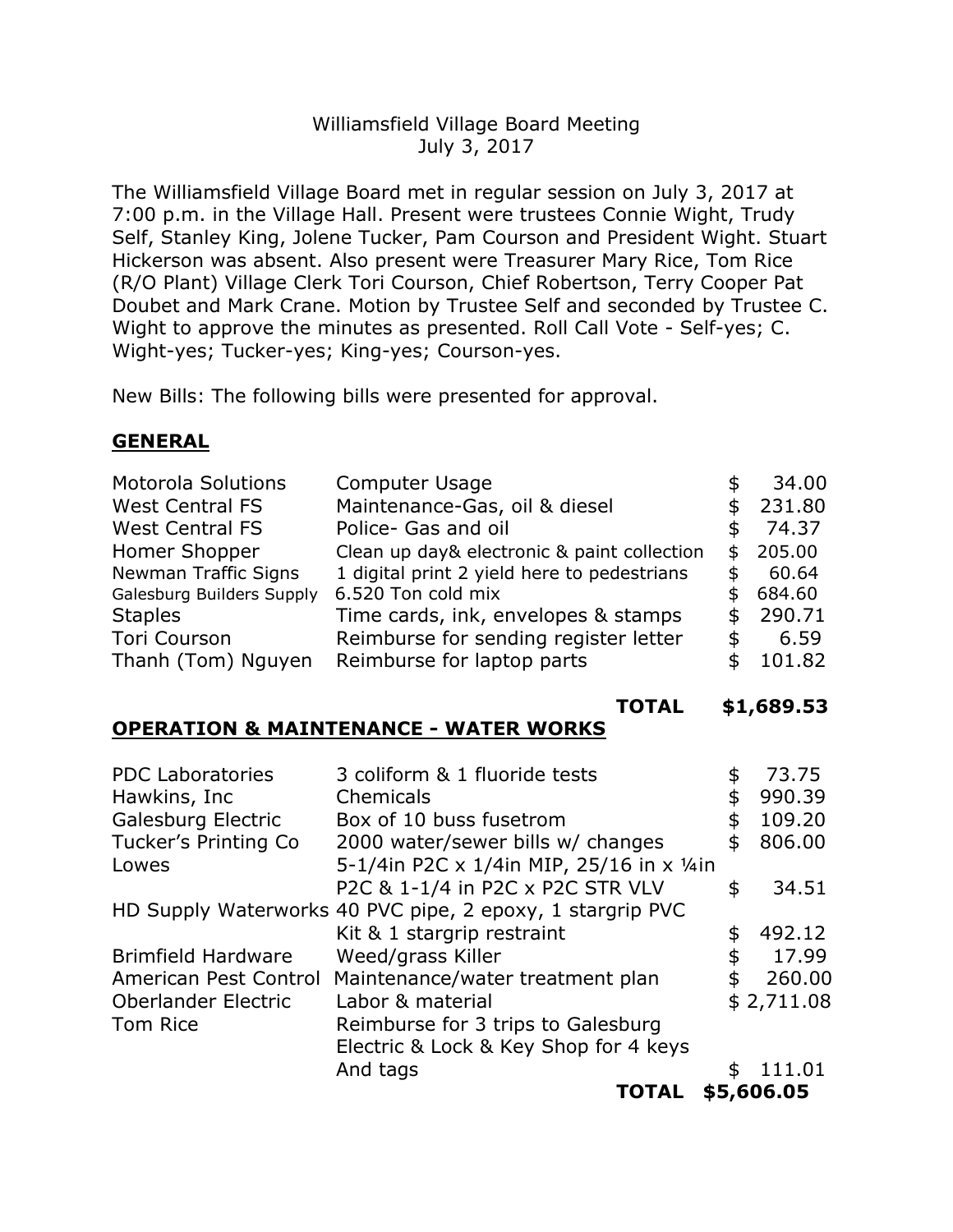# Williamsfield Village Board Meeting July 3, 2017

The Williamsfield Village Board met in regular session on July 3, 2017 at 7:00 p.m. in the Village Hall. Present were trustees Connie Wight, Trudy Self, Stanley King, Jolene Tucker, Pam Courson and President Wight. Stuart Hickerson was absent. Also present were Treasurer Mary Rice, Tom Rice (R/O Plant) Village Clerk Tori Courson, Chief Robertson, Terry Cooper Pat Doubet and Mark Crane. Motion by Trustee Self and seconded by Trustee C. Wight to approve the minutes as presented. Roll Call Vote - Self-yes; C. Wight-yes; Tucker-yes; King-yes; Courson-yes.

New Bills: The following bills were presented for approval.

### **GENERAL**

| Motorola Solutions          | <b>Computer Usage</b>                       |     | 34.00  |
|-----------------------------|---------------------------------------------|-----|--------|
| <b>West Central FS</b>      | Maintenance-Gas, oil & diesel               |     | 231.80 |
| <b>West Central FS</b>      | Police- Gas and oil                         |     | 74.37  |
| Homer Shopper               | Clean up day& electronic & paint collection | \$. | 205.00 |
| <b>Newman Traffic Signs</b> | 1 digital print 2 yield here to pedestrians |     | 60.64  |
| Galesburg Builders Supply   | 6.520 Ton cold mix                          |     | 684.60 |
| <b>Staples</b>              | Time cards, ink, envelopes & stamps         |     | 290.71 |
| <b>Tori Courson</b>         | Reimburse for sending register letter       |     | 6.59   |
| Thanh (Tom) Nguyen          | Reimburse for laptop parts                  |     | 101.82 |

#### **TOTAL \$1,689.53**

# **OPERATION & MAINTENANCE - WATER WORKS**

| <b>PDC Laboratories</b>    | 3 coliform & 1 fluoride tests                             | 73.75        |
|----------------------------|-----------------------------------------------------------|--------------|
| Hawkins, Inc               | Chemicals                                                 | \$<br>990.39 |
| Galesburg Electric         | Box of 10 buss fusetrom                                   | \$<br>109.20 |
| Tucker's Printing Co       | 2000 water/sewer bills w/ changes                         | \$<br>806.00 |
| Lowes                      | 5-1/4in P2C x 1/4in MIP, 25/16 in x 1/4in                 |              |
|                            | P2C & 1-1/4 in P2C x P2C STR VLV                          | \$<br>34.51  |
|                            | HD Supply Waterworks 40 PVC pipe, 2 epoxy, 1 stargrip PVC |              |
|                            | Kit & 1 stargrip restraint                                | \$<br>492.12 |
| <b>Brimfield Hardware</b>  | Weed/grass Killer                                         | \$<br>17.99  |
| American Pest Control      | Maintenance/water treatment plan                          | \$<br>260.00 |
| <b>Oberlander Electric</b> | Labor & material                                          | \$2,711.08   |
| Tom Rice                   | Reimburse for 3 trips to Galesburg                        |              |
|                            | Electric & Lock & Key Shop for 4 keys                     |              |
|                            | And tags                                                  | 111.01       |
|                            |                                                           |              |

**TOTAL \$5,606.05**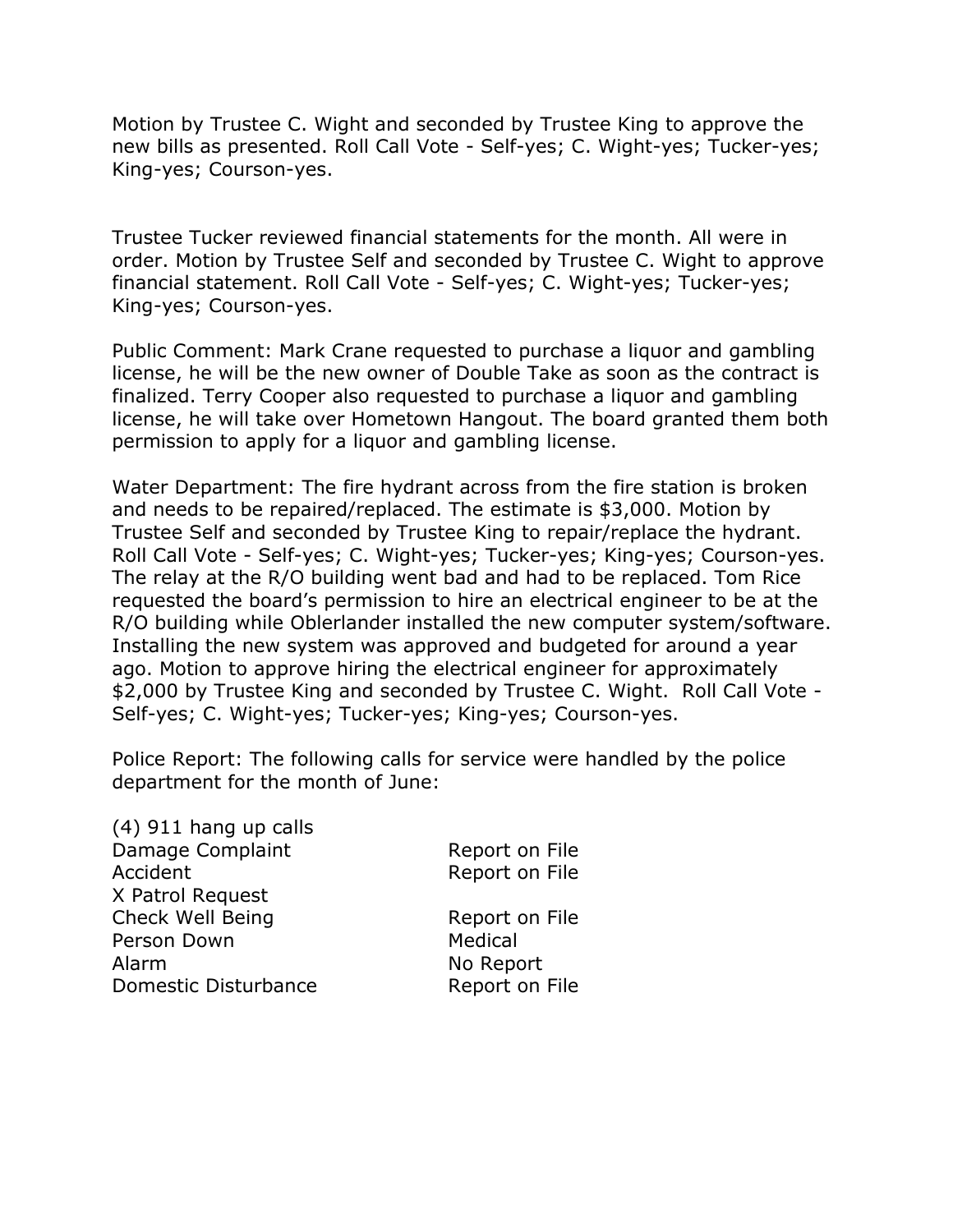Motion by Trustee C. Wight and seconded by Trustee King to approve the new bills as presented. Roll Call Vote - Self-yes; C. Wight-yes; Tucker-yes; King-yes; Courson-yes.

Trustee Tucker reviewed financial statements for the month. All were in order. Motion by Trustee Self and seconded by Trustee C. Wight to approve financial statement. Roll Call Vote - Self-yes; C. Wight-yes; Tucker-yes; King-yes; Courson-yes.

Public Comment: Mark Crane requested to purchase a liquor and gambling license, he will be the new owner of Double Take as soon as the contract is finalized. Terry Cooper also requested to purchase a liquor and gambling license, he will take over Hometown Hangout. The board granted them both permission to apply for a liquor and gambling license.

Water Department: The fire hydrant across from the fire station is broken and needs to be repaired/replaced. The estimate is \$3,000. Motion by Trustee Self and seconded by Trustee King to repair/replace the hydrant. Roll Call Vote - Self-yes; C. Wight-yes; Tucker-yes; King-yes; Courson-yes. The relay at the R/O building went bad and had to be replaced. Tom Rice requested the board's permission to hire an electrical engineer to be at the R/O building while Oblerlander installed the new computer system/software. Installing the new system was approved and budgeted for around a year ago. Motion to approve hiring the electrical engineer for approximately \$2,000 by Trustee King and seconded by Trustee C. Wight. Roll Call Vote - Self-yes; C. Wight-yes; Tucker-yes; King-yes; Courson-yes.

Police Report: The following calls for service were handled by the police department for the month of June:

| $(4)$ 911 hang up calls |                |
|-------------------------|----------------|
| Damage Complaint        | Report on File |
| Accident                | Report on File |
| X Patrol Request        |                |
| Check Well Being        | Report on File |
| Person Down             | Medical        |
| Alarm                   | No Report      |
| Domestic Disturbance    | Report on File |
|                         |                |